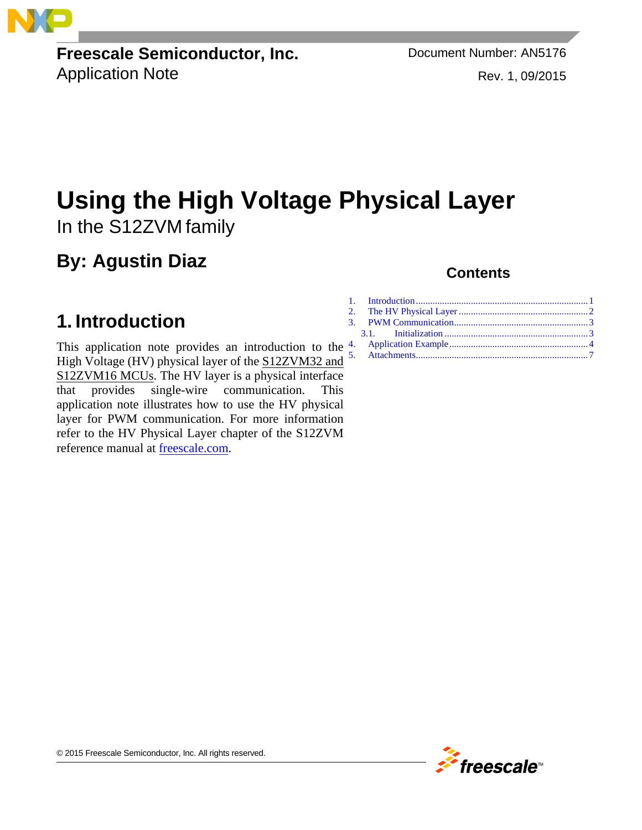**Freescale Semiconductor, Inc.** Document Number: AN5176 Application Note **Rev. 1, 09/2015** 

# **Using the High Voltage Physical Layer** In the S12ZVM family

### **By: Agustin Diaz**

#### <span id="page-0-0"></span>**1. Introduction**

This application note provides an introduction to the  $4$ . [High Voltage \(HV\) physical layer of the S12ZVM32 and](https://www.nxp.com/products/processors-and-microcontrollers/additional-mpu-mcus-architectures/s12-magniv-mixed-signal-mcus/s12zvm-mixed-signal-mcu-for-automotive-industrial-motor-control-applications:S12ZVM?utm_medium=AN-2021)  S12ZVM16 MCUs. The HV layer is a physical interface that provides single-wire communication. This application note illustrates how to use the HV physical layer for PWM communication. For more information refer to the HV Physical Layer chapter of the S12ZVM reference manual at [freescale.com.](http://www.freescale.com/)

#### **Contents**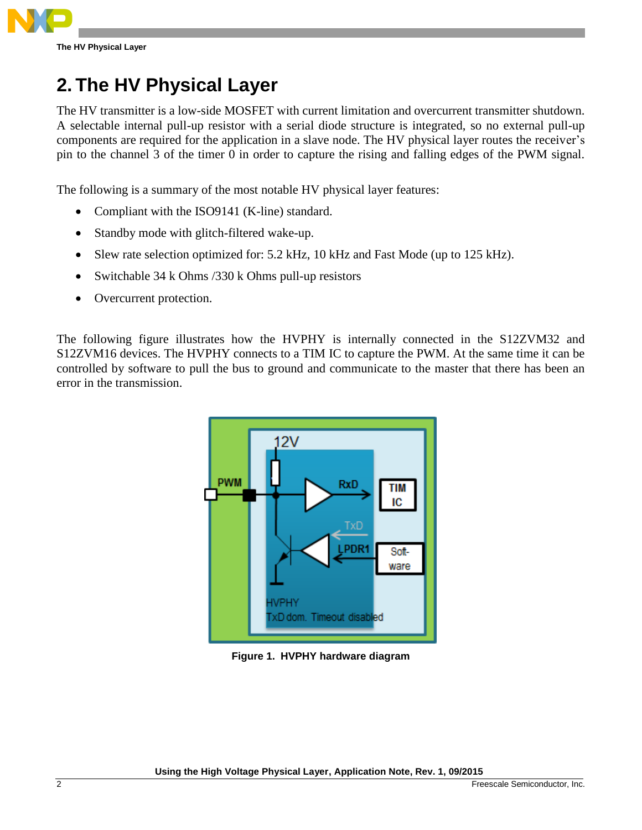## <span id="page-1-0"></span>**2. The HV Physical Layer**

The HV transmitter is a low-side MOSFET with current limitation and overcurrent transmitter shutdown. A selectable internal pull-up resistor with a serial diode structure is integrated, so no external pull-up components are required for the application in a slave node. The HV physical layer routes the receiver's pin to the channel 3 of the timer 0 in order to capture the rising and falling edges of the PWM signal.

The following is a summary of the most notable HV physical layer features:

- Compliant with the ISO9141 (K-line) standard.
- Standby mode with glitch-filtered wake-up.
- Slew rate selection optimized for: 5.2 kHz, 10 kHz and Fast Mode (up to 125 kHz).
- Switchable 34 k Ohms / 330 k Ohms pull-up resistors
- Overcurrent protection.

The following figure illustrates how the HVPHY is internally connected in the S12ZVM32 and S12ZVM16 devices. The HVPHY connects to a TIM IC to capture the PWM. At the same time it can be controlled by software to pull the bus to ground and communicate to the master that there has been an error in the transmission.



**Figure 1. HVPHY hardware diagram**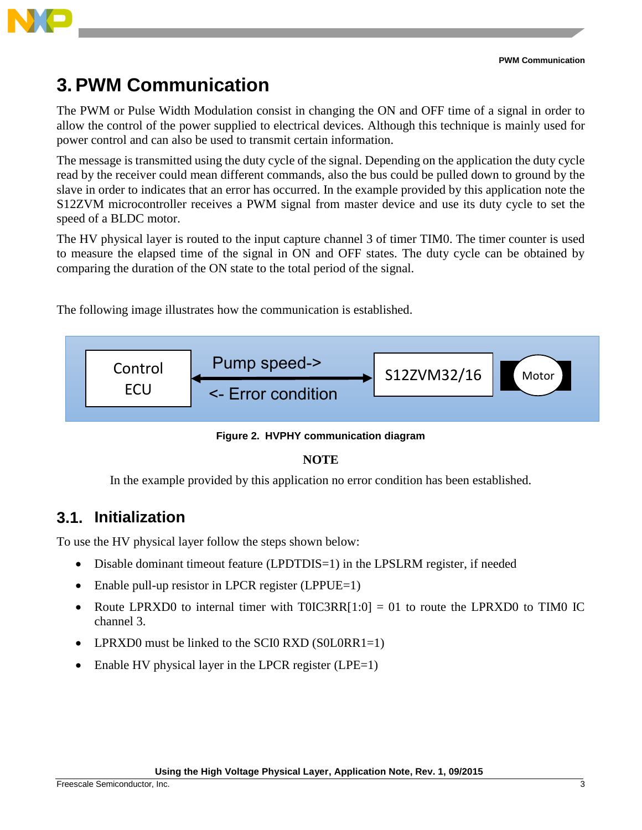

## <span id="page-2-0"></span>**3. PWM Communication**

The PWM or Pulse Width Modulation consist in changing the ON and OFF time of a signal in order to allow the control of the power supplied to electrical devices. Although this technique is mainly used for power control and can also be used to transmit certain information.

The message is transmitted using the duty cycle of the signal. Depending on the application the duty cycle read by the receiver could mean different commands, also the bus could be pulled down to ground by the slave in order to indicates that an error has occurred. In the example provided by this application note the S12ZVM microcontroller receives a PWM signal from master device and use its duty cycle to set the speed of a BLDC motor.

The HV physical layer is routed to the input capture channel 3 of timer TIM0. The timer counter is used to measure the elapsed time of the signal in ON and OFF states. The duty cycle can be obtained by comparing the duration of the ON state to the total period of the signal.

The following image illustrates how the communication is established.



**Figure 2. HVPHY communication diagram**

#### **NOTE**

In the example provided by this application no error condition has been established.

#### <span id="page-2-1"></span>**3.1. Initialization**

To use the HV physical layer follow the steps shown below:

- Disable dominant timeout feature (LPDTDIS=1) in the LPSLRM register, if needed
- Enable pull-up resistor in LPCR register (LPPUE=1)
- Route LPRXD0 to internal timer with T0IC3RR $[1:0] = 01$  to route the LPRXD0 to TIM0 IC channel 3.
- LPRXD0 must be linked to the SCI0 RXD (S0L0RR1=1)
- Enable HV physical layer in the LPCR register (LPE=1)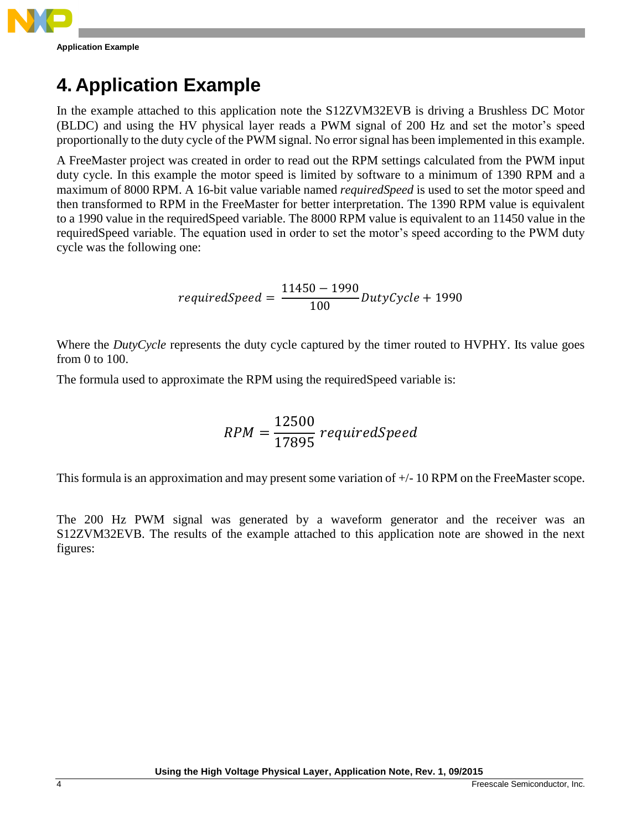

### <span id="page-3-0"></span>**4. Application Example**

In the example attached to this application note the S12ZVM32EVB is driving a Brushless DC Motor (BLDC) and using the HV physical layer reads a PWM signal of 200 Hz and set the motor's speed proportionally to the duty cycle of the PWM signal. No error signal has been implemented in this example.

A FreeMaster project was created in order to read out the RPM settings calculated from the PWM input duty cycle. In this example the motor speed is limited by software to a minimum of 1390 RPM and a maximum of 8000 RPM. A 16-bit value variable named *requiredSpeed* is used to set the motor speed and then transformed to RPM in the FreeMaster for better interpretation. The 1390 RPM value is equivalent to a 1990 value in the requiredSpeed variable. The 8000 RPM value is equivalent to an 11450 value in the requiredSpeed variable. The equation used in order to set the motor's speed according to the PWM duty cycle was the following one:

$$
requiredSpeed = \frac{11450 - 1990}{100} DutyCycle + 1990
$$

Where the *DutyCycle* represents the duty cycle captured by the timer routed to HVPHY. Its value goes from 0 to 100.

The formula used to approximate the RPM using the requiredSpeed variable is:

$$
RPM = \frac{12500}{17895} \, requiredSpeed
$$

This formula is an approximation and may present some variation of +/- 10 RPM on the FreeMaster scope.

The 200 Hz PWM signal was generated by a waveform generator and the receiver was an S12ZVM32EVB. The results of the example attached to this application note are showed in the next figures: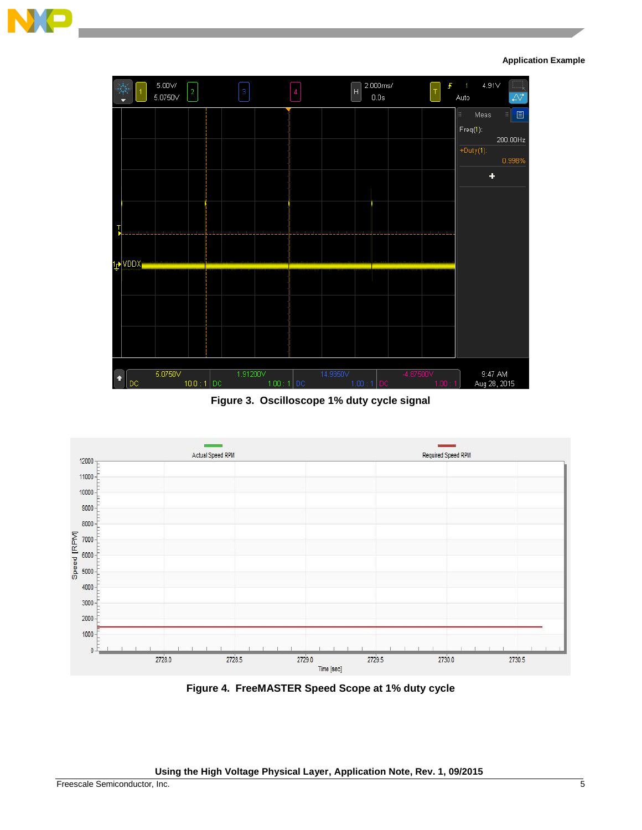

**Application Example**



**Figure 3. Oscilloscope 1% duty cycle signal**



**Figure 4. FreeMASTER Speed Scope at 1% duty cycle**

**Using the High Voltage Physical Layer, Application Note, Rev. 1, 09/2015**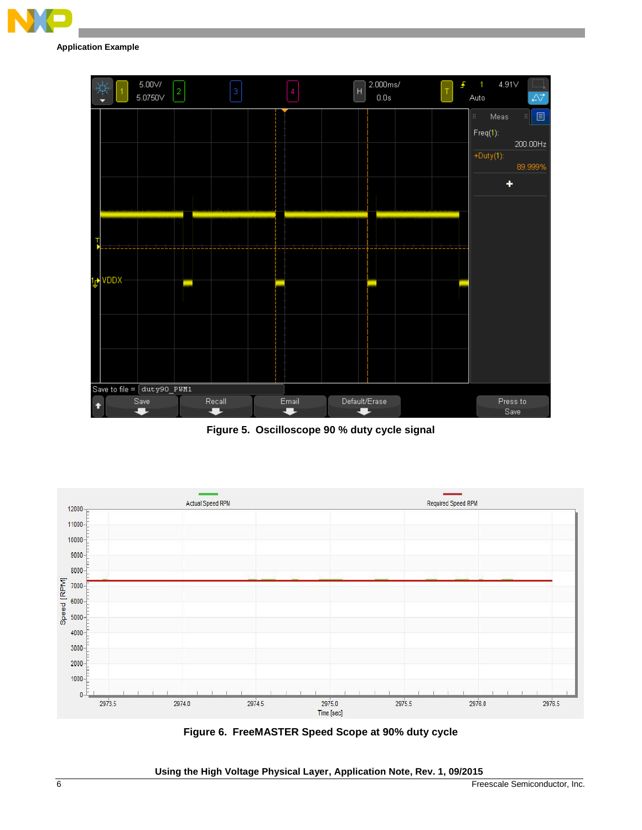

**Application Example**



**Figure 5. Oscilloscope 90 % duty cycle signal**



**Figure 6. FreeMASTER Speed Scope at 90% duty cycle**

**Using the High Voltage Physical Layer, Application Note, Rev. 1, 09/2015**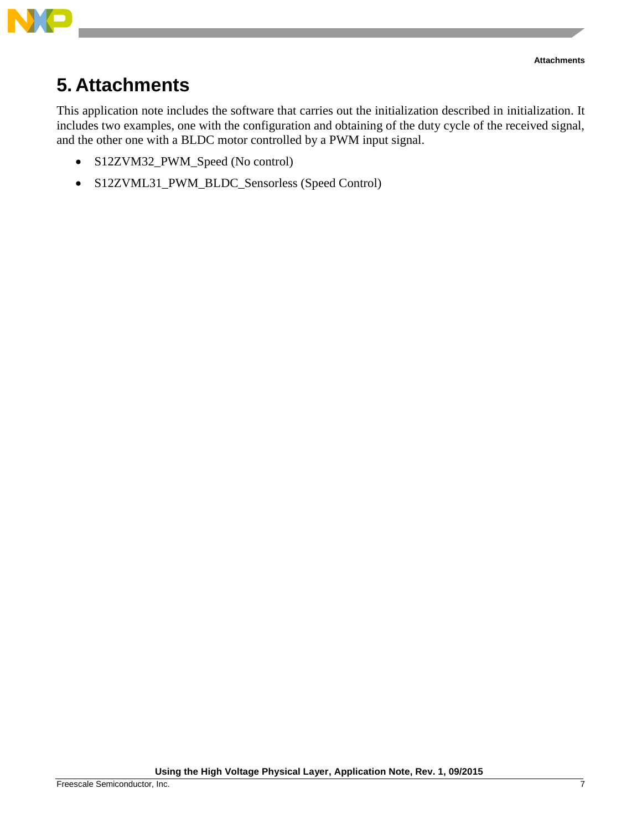

## <span id="page-6-0"></span>**5. Attachments**

This application note includes the software that carries out the initialization described in initialization. It includes two examples, one with the configuration and obtaining of the duty cycle of the received signal, and the other one with a BLDC motor controlled by a PWM input signal.

- S12ZVM32\_PWM\_Speed (No control)
- S12ZVML31\_PWM\_BLDC\_Sensorless (Speed Control)